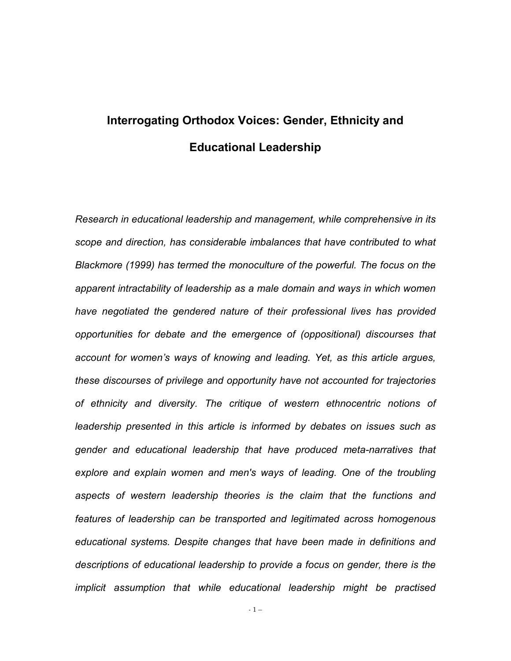# **Interrogating Orthodox Voices: Gender, Ethnicity and Educational Leadership**

*Research in educational leadership and management, while comprehensive in its scope and direction, has considerable imbalances that have contributed to what Blackmore (1999) has termed the monoculture of the powerful. The focus on the apparent intractability of leadership as a male domain and ways in which women have negotiated the gendered nature of their professional lives has provided opportunities for debate and the emergence of (oppositional) discourses that account for women's ways of knowing and leading. Yet, as this article argues, these discourses of privilege and opportunity have not accounted for trajectories of ethnicity and diversity. The critique of western ethnocentric notions of leadership presented in this article is informed by debates on issues such as gender and educational leadership that have produced meta-narratives that explore and explain women and men's ways of leading. One of the troubling aspects of western leadership theories is the claim that the functions and features of leadership can be transported and legitimated across homogenous educational systems. Despite changes that have been made in definitions and descriptions of educational leadership to provide a focus on gender, there is the implicit assumption that while educational leadership might be practised* 

- 1 –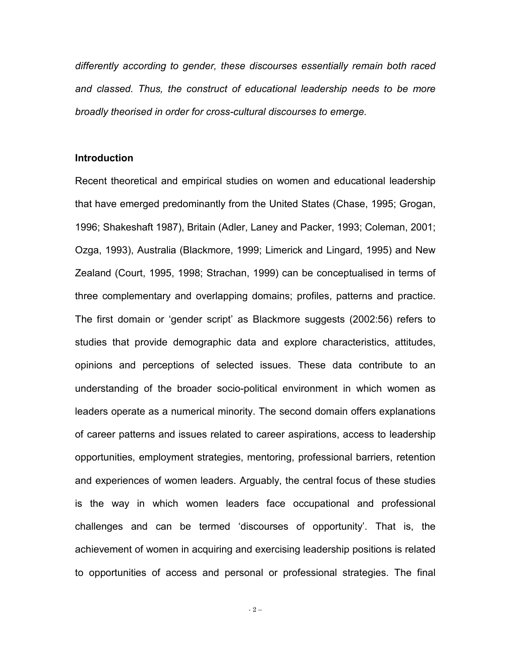*differently according to gender, these discourses essentially remain both raced and classed. Thus, the construct of educational leadership needs to be more broadly theorised in order for cross-cultural discourses to emerge.* 

#### **Introduction**

Recent theoretical and empirical studies on women and educational leadership that have emerged predominantly from the United States (Chase, 1995; Grogan, 1996; Shakeshaft 1987), Britain (Adler, Laney and Packer, 1993; Coleman, 2001; Ozga, 1993), Australia (Blackmore, 1999; Limerick and Lingard, 1995) and New Zealand (Court, 1995, 1998; Strachan, 1999) can be conceptualised in terms of three complementary and overlapping domains; profiles, patterns and practice. The first domain or 'gender script' as Blackmore suggests (2002:56) refers to studies that provide demographic data and explore characteristics, attitudes, opinions and perceptions of selected issues. These data contribute to an understanding of the broader socio-political environment in which women as leaders operate as a numerical minority. The second domain offers explanations of career patterns and issues related to career aspirations, access to leadership opportunities, employment strategies, mentoring, professional barriers, retention and experiences of women leaders. Arguably, the central focus of these studies is the way in which women leaders face occupational and professional challenges and can be termed 'discourses of opportunity'. That is, the achievement of women in acquiring and exercising leadership positions is related to opportunities of access and personal or professional strategies. The final

- 2 –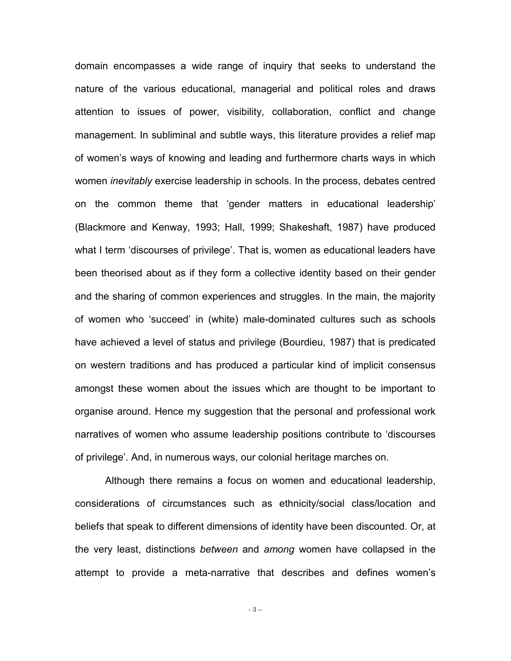domain encompasses a wide range of inquiry that seeks to understand the nature of the various educational, managerial and political roles and draws attention to issues of power, visibility, collaboration, conflict and change management. In subliminal and subtle ways, this literature provides a relief map of women's ways of knowing and leading and furthermore charts ways in which women *inevitably* exercise leadership in schools. In the process, debates centred on the common theme that 'gender matters in educational leadership' (Blackmore and Kenway, 1993; Hall, 1999; Shakeshaft, 1987) have produced what I term 'discourses of privilege'. That is, women as educational leaders have been theorised about as if they form a collective identity based on their gender and the sharing of common experiences and struggles. In the main, the majority of women who 'succeed' in (white) male-dominated cultures such as schools have achieved a level of status and privilege (Bourdieu, 1987) that is predicated on western traditions and has produced a particular kind of implicit consensus amongst these women about the issues which are thought to be important to organise around. Hence my suggestion that the personal and professional work narratives of women who assume leadership positions contribute to 'discourses of privilege'. And, in numerous ways, our colonial heritage marches on.

Although there remains a focus on women and educational leadership, considerations of circumstances such as ethnicity/social class/location and beliefs that speak to different dimensions of identity have been discounted. Or, at the very least, distinctions *between* and *among* women have collapsed in the attempt to provide a meta-narrative that describes and defines women's

- 3 –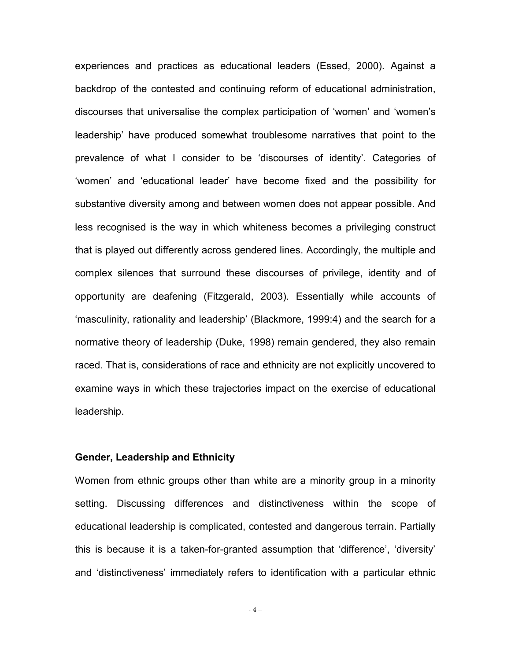experiences and practices as educational leaders (Essed, 2000). Against a backdrop of the contested and continuing reform of educational administration, discourses that universalise the complex participation of 'women' and 'women's leadership' have produced somewhat troublesome narratives that point to the prevalence of what I consider to be 'discourses of identity'. Categories of 'women' and 'educational leader' have become fixed and the possibility for substantive diversity among and between women does not appear possible. And less recognised is the way in which whiteness becomes a privileging construct that is played out differently across gendered lines. Accordingly, the multiple and complex silences that surround these discourses of privilege, identity and of opportunity are deafening (Fitzgerald, 2003). Essentially while accounts of 'masculinity, rationality and leadership' (Blackmore, 1999:4) and the search for a normative theory of leadership (Duke, 1998) remain gendered, they also remain raced. That is, considerations of race and ethnicity are not explicitly uncovered to examine ways in which these trajectories impact on the exercise of educational leadership.

#### **Gender, Leadership and Ethnicity**

Women from ethnic groups other than white are a minority group in a minority setting. Discussing differences and distinctiveness within the scope of educational leadership is complicated, contested and dangerous terrain. Partially this is because it is a taken-for-granted assumption that 'difference', 'diversity' and 'distinctiveness' immediately refers to identification with a particular ethnic

- 4 –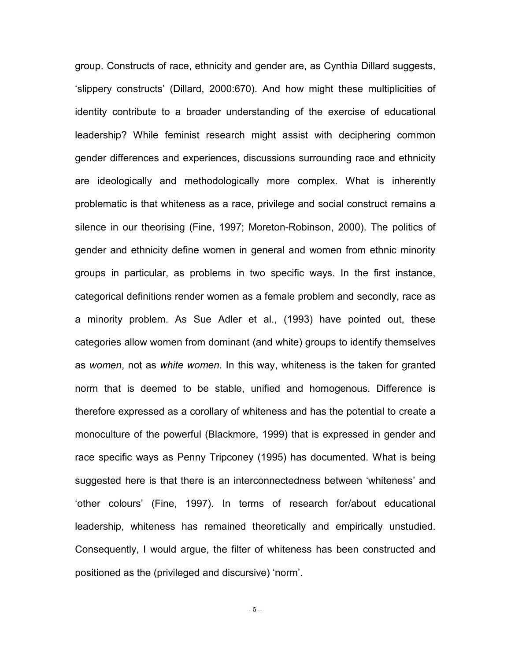group. Constructs of race, ethnicity and gender are, as Cynthia Dillard suggests, 'slippery constructs' (Dillard, 2000:670). And how might these multiplicities of identity contribute to a broader understanding of the exercise of educational leadership? While feminist research might assist with deciphering common gender differences and experiences, discussions surrounding race and ethnicity are ideologically and methodologically more complex. What is inherently problematic is that whiteness as a race, privilege and social construct remains a silence in our theorising (Fine, 1997; Moreton-Robinson, 2000). The politics of gender and ethnicity define women in general and women from ethnic minority groups in particular, as problems in two specific ways. In the first instance, categorical definitions render women as a female problem and secondly, race as a minority problem. As Sue Adler et al., (1993) have pointed out, these categories allow women from dominant (and white) groups to identify themselves as *women*, not as *white women*. In this way, whiteness is the taken for granted norm that is deemed to be stable, unified and homogenous. Difference is therefore expressed as a corollary of whiteness and has the potential to create a monoculture of the powerful (Blackmore, 1999) that is expressed in gender and race specific ways as Penny Tripconey (1995) has documented. What is being suggested here is that there is an interconnectedness between 'whiteness' and 'other colours' (Fine, 1997). In terms of research for/about educational leadership, whiteness has remained theoretically and empirically unstudied. Consequently, I would argue, the filter of whiteness has been constructed and positioned as the (privileged and discursive) 'norm'.

- 5 –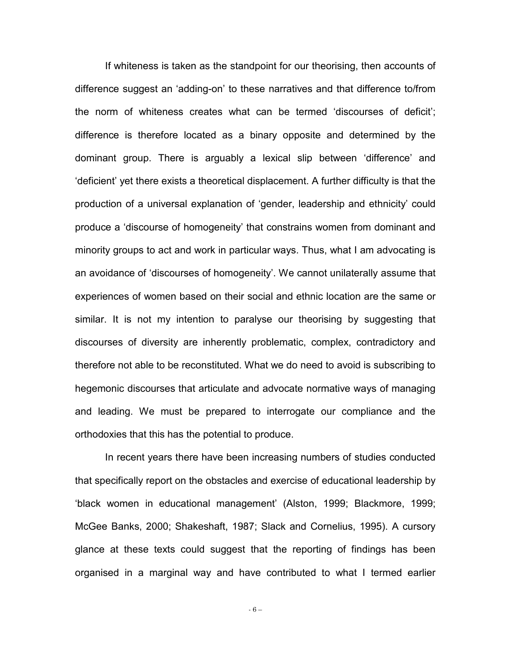If whiteness is taken as the standpoint for our theorising, then accounts of difference suggest an 'adding-on' to these narratives and that difference to/from the norm of whiteness creates what can be termed 'discourses of deficit'; difference is therefore located as a binary opposite and determined by the dominant group. There is arguably a lexical slip between 'difference' and 'deficient' yet there exists a theoretical displacement. A further difficulty is that the production of a universal explanation of 'gender, leadership and ethnicity' could produce a 'discourse of homogeneity' that constrains women from dominant and minority groups to act and work in particular ways. Thus, what I am advocating is an avoidance of 'discourses of homogeneity'. We cannot unilaterally assume that experiences of women based on their social and ethnic location are the same or similar. It is not my intention to paralyse our theorising by suggesting that discourses of diversity are inherently problematic, complex, contradictory and therefore not able to be reconstituted. What we do need to avoid is subscribing to hegemonic discourses that articulate and advocate normative ways of managing and leading. We must be prepared to interrogate our compliance and the orthodoxies that this has the potential to produce.

In recent years there have been increasing numbers of studies conducted that specifically report on the obstacles and exercise of educational leadership by 'black women in educational management' (Alston, 1999; Blackmore, 1999; McGee Banks, 2000; Shakeshaft, 1987; Slack and Cornelius, 1995). A cursory glance at these texts could suggest that the reporting of findings has been organised in a marginal way and have contributed to what I termed earlier

- 6 –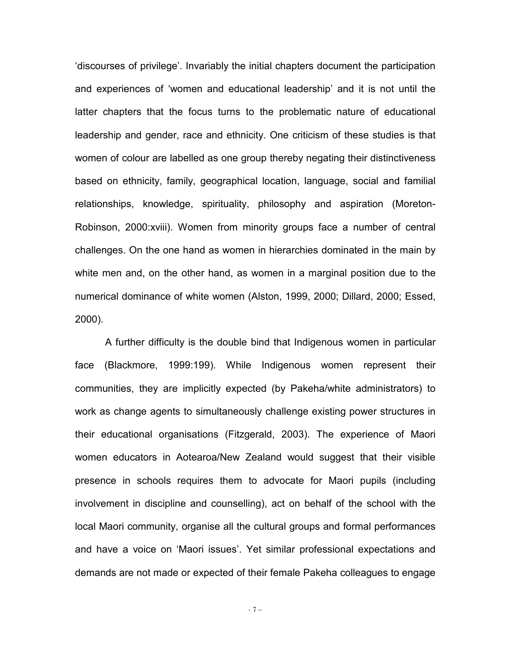'discourses of privilege'. Invariably the initial chapters document the participation and experiences of 'women and educational leadership' and it is not until the latter chapters that the focus turns to the problematic nature of educational leadership and gender, race and ethnicity. One criticism of these studies is that women of colour are labelled as one group thereby negating their distinctiveness based on ethnicity, family, geographical location, language, social and familial relationships, knowledge, spirituality, philosophy and aspiration (Moreton-Robinson, 2000:xviii). Women from minority groups face a number of central challenges. On the one hand as women in hierarchies dominated in the main by white men and, on the other hand, as women in a marginal position due to the numerical dominance of white women (Alston, 1999, 2000; Dillard, 2000; Essed, 2000).

A further difficulty is the double bind that Indigenous women in particular face (Blackmore, 1999:199). While Indigenous women represent their communities, they are implicitly expected (by Pakeha/white administrators) to work as change agents to simultaneously challenge existing power structures in their educational organisations (Fitzgerald, 2003). The experience of Maori women educators in Aotearoa/New Zealand would suggest that their visible presence in schools requires them to advocate for Maori pupils (including involvement in discipline and counselling), act on behalf of the school with the local Maori community, organise all the cultural groups and formal performances and have a voice on 'Maori issues'. Yet similar professional expectations and demands are not made or expected of their female Pakeha colleagues to engage

- 7 –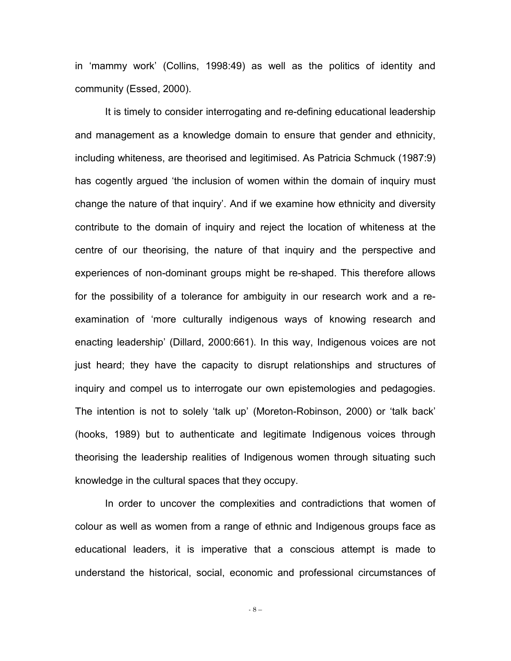in 'mammy work' (Collins, 1998:49) as well as the politics of identity and community (Essed, 2000).

It is timely to consider interrogating and re-defining educational leadership and management as a knowledge domain to ensure that gender and ethnicity, including whiteness, are theorised and legitimised. As Patricia Schmuck (1987:9) has cogently argued 'the inclusion of women within the domain of inquiry must change the nature of that inquiry'. And if we examine how ethnicity and diversity contribute to the domain of inquiry and reject the location of whiteness at the centre of our theorising, the nature of that inquiry and the perspective and experiences of non-dominant groups might be re-shaped. This therefore allows for the possibility of a tolerance for ambiguity in our research work and a reexamination of 'more culturally indigenous ways of knowing research and enacting leadership' (Dillard, 2000:661). In this way, Indigenous voices are not just heard; they have the capacity to disrupt relationships and structures of inquiry and compel us to interrogate our own epistemologies and pedagogies. The intention is not to solely 'talk up' (Moreton-Robinson, 2000) or 'talk back' (hooks, 1989) but to authenticate and legitimate Indigenous voices through theorising the leadership realities of Indigenous women through situating such knowledge in the cultural spaces that they occupy.

In order to uncover the complexities and contradictions that women of colour as well as women from a range of ethnic and Indigenous groups face as educational leaders, it is imperative that a conscious attempt is made to understand the historical, social, economic and professional circumstances of

- 8 –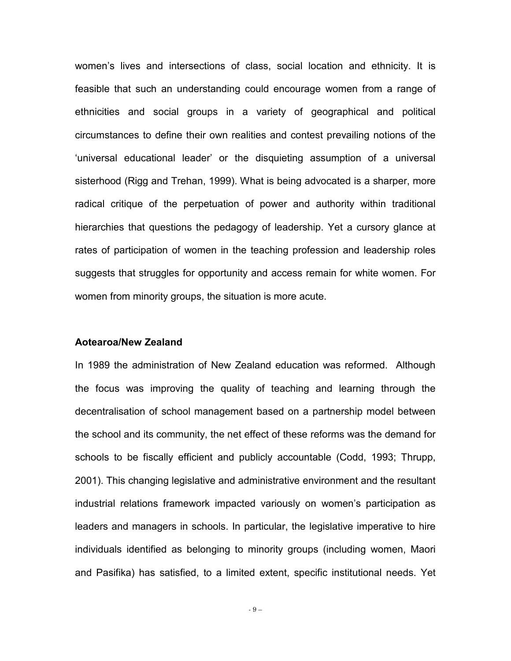women's lives and intersections of class, social location and ethnicity. It is feasible that such an understanding could encourage women from a range of ethnicities and social groups in a variety of geographical and political circumstances to define their own realities and contest prevailing notions of the 'universal educational leader' or the disquieting assumption of a universal sisterhood (Rigg and Trehan, 1999). What is being advocated is a sharper, more radical critique of the perpetuation of power and authority within traditional hierarchies that questions the pedagogy of leadership. Yet a cursory glance at rates of participation of women in the teaching profession and leadership roles suggests that struggles for opportunity and access remain for white women. For women from minority groups, the situation is more acute.

#### **Aotearoa/New Zealand**

In 1989 the administration of New Zealand education was reformed. Although the focus was improving the quality of teaching and learning through the decentralisation of school management based on a partnership model between the school and its community, the net effect of these reforms was the demand for schools to be fiscally efficient and publicly accountable (Codd, 1993; Thrupp, 2001). This changing legislative and administrative environment and the resultant industrial relations framework impacted variously on women's participation as leaders and managers in schools. In particular, the legislative imperative to hire individuals identified as belonging to minority groups (including women, Maori and Pasifika) has satisfied, to a limited extent, specific institutional needs. Yet

- 9 –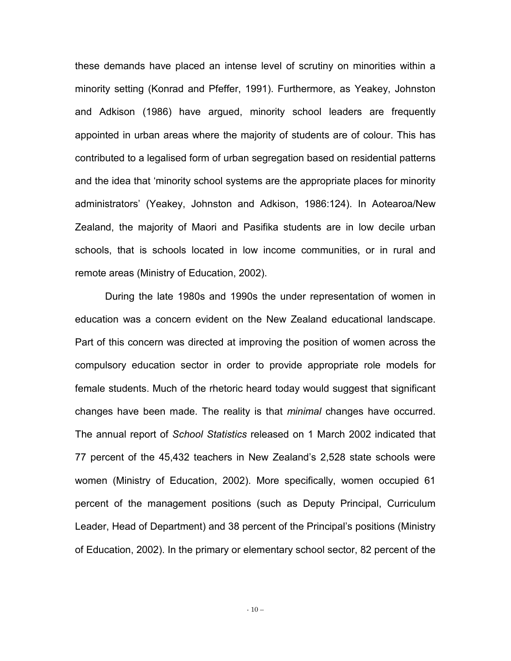these demands have placed an intense level of scrutiny on minorities within a minority setting (Konrad and Pfeffer, 1991). Furthermore, as Yeakey, Johnston and Adkison (1986) have argued, minority school leaders are frequently appointed in urban areas where the majority of students are of colour. This has contributed to a legalised form of urban segregation based on residential patterns and the idea that 'minority school systems are the appropriate places for minority administrators' (Yeakey, Johnston and Adkison, 1986:124). In Aotearoa/New Zealand, the majority of Maori and Pasifika students are in low decile urban schools, that is schools located in low income communities, or in rural and remote areas (Ministry of Education, 2002).

During the late 1980s and 1990s the under representation of women in education was a concern evident on the New Zealand educational landscape. Part of this concern was directed at improving the position of women across the compulsory education sector in order to provide appropriate role models for female students. Much of the rhetoric heard today would suggest that significant changes have been made. The reality is that *minimal* changes have occurred. The annual report of *School Statistics* released on 1 March 2002 indicated that 77 percent of the 45,432 teachers in New Zealand's 2,528 state schools were women (Ministry of Education, 2002). More specifically, women occupied 61 percent of the management positions (such as Deputy Principal, Curriculum Leader, Head of Department) and 38 percent of the Principal's positions (Ministry of Education, 2002). In the primary or elementary school sector, 82 percent of the

- 10 –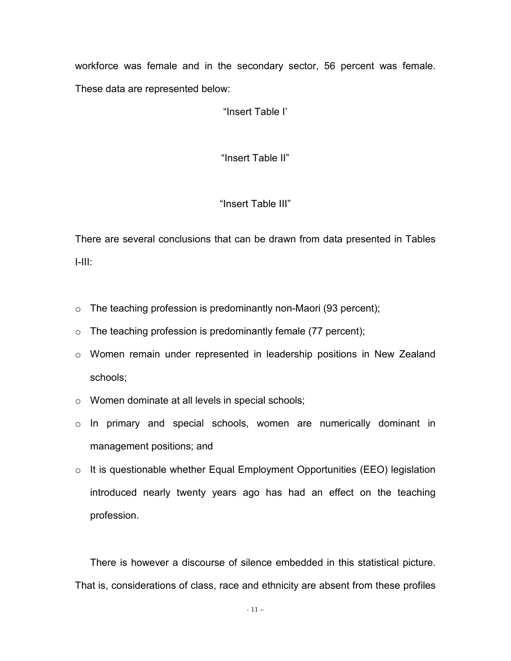workforce was female and in the secondary sector, 56 percent was female. These data are represented below:

"Insert Table I'

"Insert Table II"

### "Insert Table III"

There are several conclusions that can be drawn from data presented in Tables I-III:

- $\circ$  The teaching profession is predominantly non-Maori (93 percent);
- $\circ$  The teaching profession is predominantly female (77 percent);
- o Women remain under represented in leadership positions in New Zealand schools;
- o Women dominate at all levels in special schools;
- o In primary and special schools, women are numerically dominant in management positions; and
- o It is questionable whether Equal Employment Opportunities (EEO) legislation introduced nearly twenty years ago has had an effect on the teaching profession.

There is however a discourse of silence embedded in this statistical picture. That is, considerations of class, race and ethnicity are absent from these profiles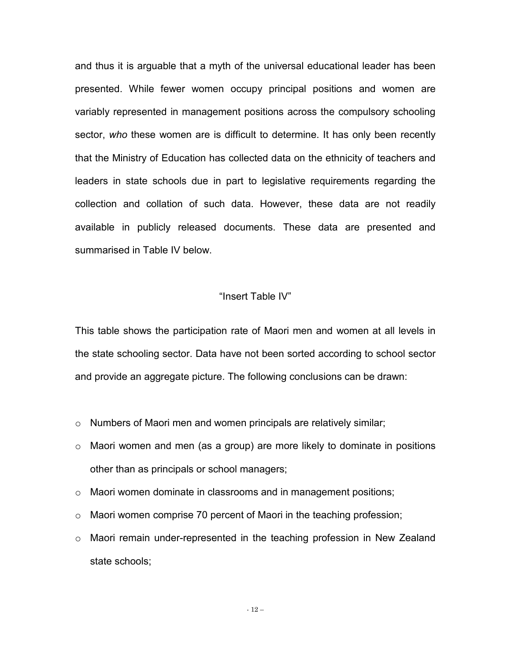and thus it is arguable that a myth of the universal educational leader has been presented. While fewer women occupy principal positions and women are variably represented in management positions across the compulsory schooling sector, *who* these women are is difficult to determine. It has only been recently that the Ministry of Education has collected data on the ethnicity of teachers and leaders in state schools due in part to legislative requirements regarding the collection and collation of such data. However, these data are not readily available in publicly released documents. These data are presented and summarised in Table IV below.

#### "Insert Table IV"

This table shows the participation rate of Maori men and women at all levels in the state schooling sector. Data have not been sorted according to school sector and provide an aggregate picture. The following conclusions can be drawn:

- o Numbers of Maori men and women principals are relatively similar;
- o Maori women and men (as a group) are more likely to dominate in positions other than as principals or school managers;
- o Maori women dominate in classrooms and in management positions;
- $\circ$  Maori women comprise 70 percent of Maori in the teaching profession;
- $\circ$  Maori remain under-represented in the teaching profession in New Zealand state schools;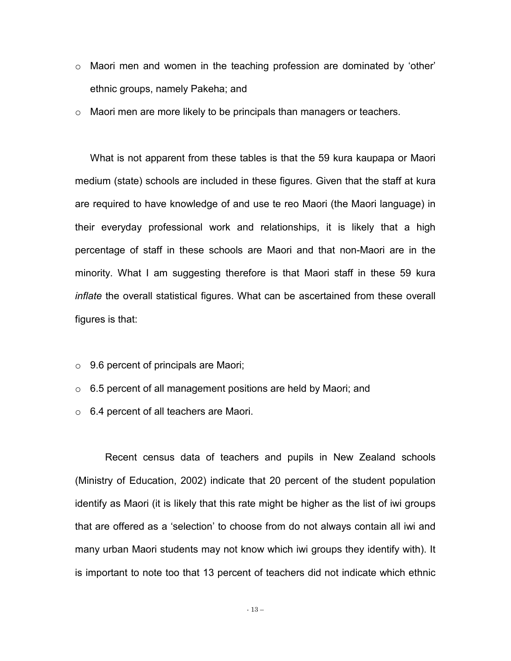- $\circ$  Maori men and women in the teaching profession are dominated by 'other' ethnic groups, namely Pakeha; and
- $\circ$  Maori men are more likely to be principals than managers or teachers.

What is not apparent from these tables is that the 59 kura kaupapa or Maori medium (state) schools are included in these figures. Given that the staff at kura are required to have knowledge of and use te reo Maori (the Maori language) in their everyday professional work and relationships, it is likely that a high percentage of staff in these schools are Maori and that non-Maori are in the minority. What I am suggesting therefore is that Maori staff in these 59 kura *inflate* the overall statistical figures. What can be ascertained from these overall figures is that:

- $\circ$  9.6 percent of principals are Maori;
- $\circ$  6.5 percent of all management positions are held by Maori; and
- o 6.4 percent of all teachers are Maori.

Recent census data of teachers and pupils in New Zealand schools (Ministry of Education, 2002) indicate that 20 percent of the student population identify as Maori (it is likely that this rate might be higher as the list of iwi groups that are offered as a 'selection' to choose from do not always contain all iwi and many urban Maori students may not know which iwi groups they identify with). It is important to note too that 13 percent of teachers did not indicate which ethnic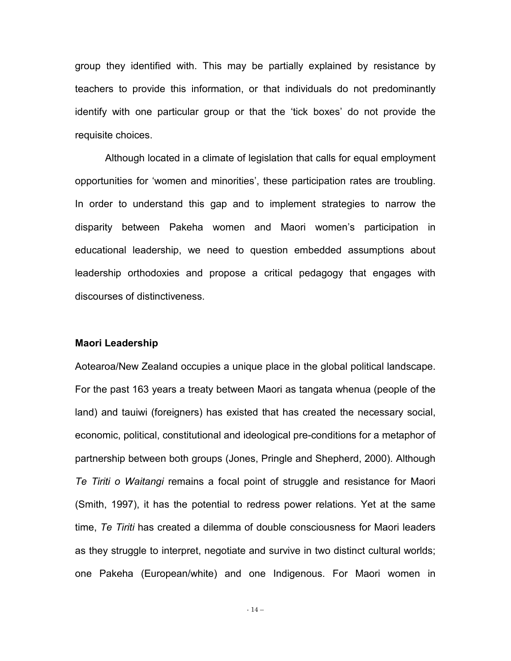group they identified with. This may be partially explained by resistance by teachers to provide this information, or that individuals do not predominantly identify with one particular group or that the 'tick boxes' do not provide the requisite choices.

Although located in a climate of legislation that calls for equal employment opportunities for 'women and minorities', these participation rates are troubling. In order to understand this gap and to implement strategies to narrow the disparity between Pakeha women and Maori women's participation in educational leadership, we need to question embedded assumptions about leadership orthodoxies and propose a critical pedagogy that engages with discourses of distinctiveness.

#### **Maori Leadership**

Aotearoa/New Zealand occupies a unique place in the global political landscape. For the past 163 years a treaty between Maori as tangata whenua (people of the land) and tauiwi (foreigners) has existed that has created the necessary social, economic, political, constitutional and ideological pre-conditions for a metaphor of partnership between both groups (Jones, Pringle and Shepherd, 2000). Although *Te Tiriti o Waitangi* remains a focal point of struggle and resistance for Maori (Smith, 1997), it has the potential to redress power relations. Yet at the same time, *Te Tiriti* has created a dilemma of double consciousness for Maori leaders as they struggle to interpret, negotiate and survive in two distinct cultural worlds; one Pakeha (European/white) and one Indigenous. For Maori women in

- 14 –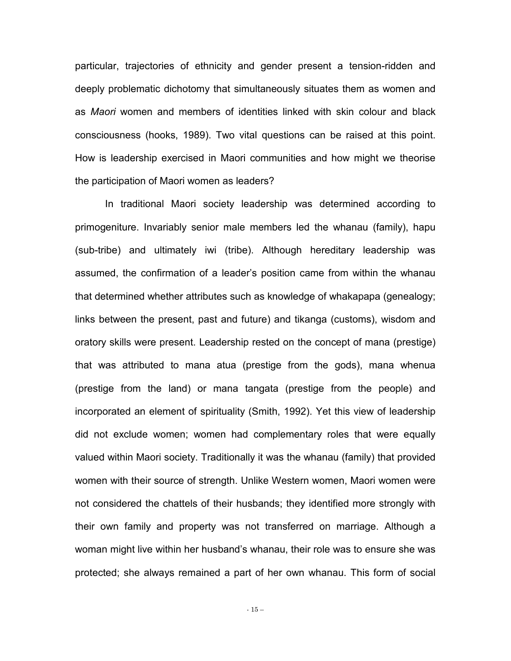particular, trajectories of ethnicity and gender present a tension-ridden and deeply problematic dichotomy that simultaneously situates them as women and as *Maori* women and members of identities linked with skin colour and black consciousness (hooks, 1989). Two vital questions can be raised at this point. How is leadership exercised in Maori communities and how might we theorise the participation of Maori women as leaders?

In traditional Maori society leadership was determined according to primogeniture. Invariably senior male members led the whanau (family), hapu (sub-tribe) and ultimately iwi (tribe). Although hereditary leadership was assumed, the confirmation of a leader's position came from within the whanau that determined whether attributes such as knowledge of whakapapa (genealogy; links between the present, past and future) and tikanga (customs), wisdom and oratory skills were present. Leadership rested on the concept of mana (prestige) that was attributed to mana atua (prestige from the gods), mana whenua (prestige from the land) or mana tangata (prestige from the people) and incorporated an element of spirituality (Smith, 1992). Yet this view of leadership did not exclude women; women had complementary roles that were equally valued within Maori society. Traditionally it was the whanau (family) that provided women with their source of strength. Unlike Western women, Maori women were not considered the chattels of their husbands; they identified more strongly with their own family and property was not transferred on marriage. Although a woman might live within her husband's whanau, their role was to ensure she was protected; she always remained a part of her own whanau. This form of social

- 15 –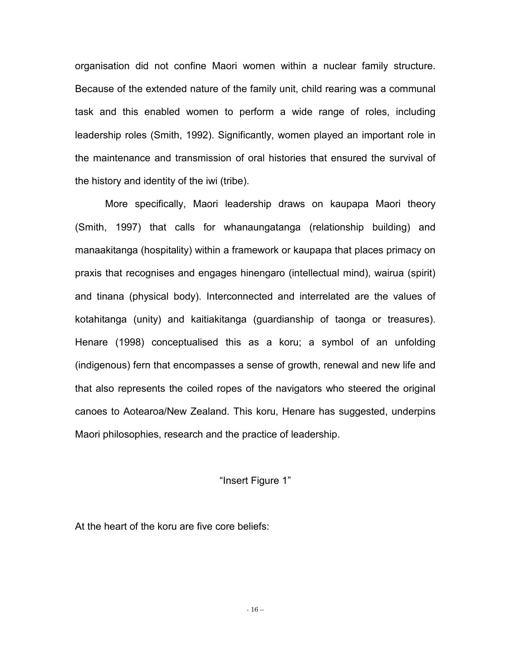organisation did not confine Maori women within a nuclear family structure. Because of the extended nature of the family unit, child rearing was a communal task and this enabled women to perform a wide range of roles, including leadership roles (Smith, 1992). Significantly, women played an important role in the maintenance and transmission of oral histories that ensured the survival of the history and identity of the iwi (tribe).

More specifically, Maori leadership draws on kaupapa Maori theory (Smith, 1997) that calls for whanaungatanga (relationship building) and manaakitanga (hospitality) within a framework or kaupapa that places primacy on praxis that recognises and engages hinengaro (intellectual mind), wairua (spirit) and tinana (physical body). Interconnected and interrelated are the values of kotahitanga (unity) and kaitiakitanga (guardianship of taonga or treasures). Henare (1998) conceptualised this as a koru; a symbol of an unfolding (indigenous) fern that encompasses a sense of growth, renewal and new life and that also represents the coiled ropes of the navigators who steered the original canoes to Aotearoa/New Zealand. This koru, Henare has suggested, underpins Maori philosophies, research and the practice of leadership.

#### "Insert Figure 1"

At the heart of the koru are five core beliefs: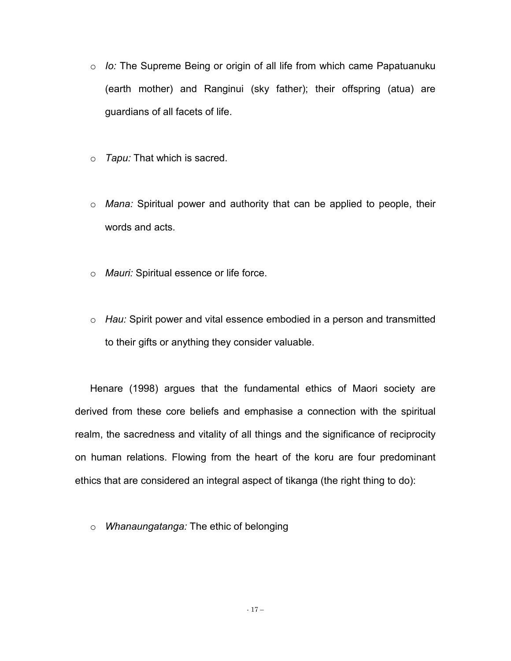- o *Io:* The Supreme Being or origin of all life from which came Papatuanuku (earth mother) and Ranginui (sky father); their offspring (atua) are guardians of all facets of life.
- o *Tapu:* That which is sacred.
- o *Mana:* Spiritual power and authority that can be applied to people, their words and acts.
- o *Mauri:* Spiritual essence or life force.
- o *Hau:* Spirit power and vital essence embodied in a person and transmitted to their gifts or anything they consider valuable.

Henare (1998) argues that the fundamental ethics of Maori society are derived from these core beliefs and emphasise a connection with the spiritual realm, the sacredness and vitality of all things and the significance of reciprocity on human relations. Flowing from the heart of the koru are four predominant ethics that are considered an integral aspect of tikanga (the right thing to do):

o *Whanaungatanga:* The ethic of belonging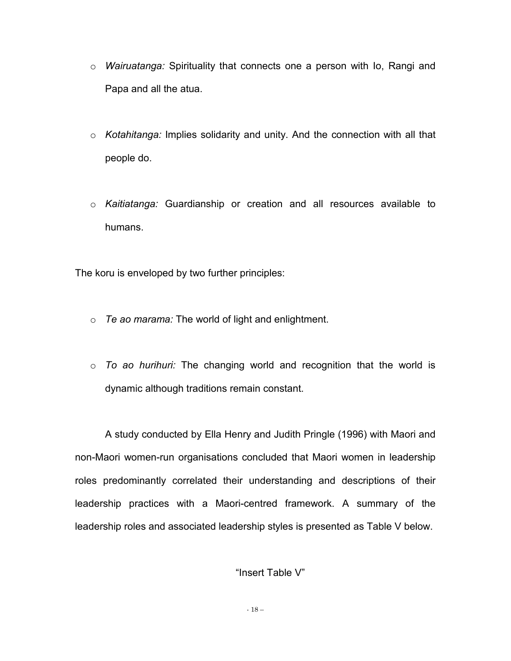- o *Wairuatanga:* Spirituality that connects one a person with Io, Rangi and Papa and all the atua.
- o *Kotahitanga:* Implies solidarity and unity. And the connection with all that people do.
- o *Kaitiatanga:* Guardianship or creation and all resources available to humans.

The koru is enveloped by two further principles:

- o *Te ao marama:* The world of light and enlightment.
- o *To ao hurihuri:* The changing world and recognition that the world is dynamic although traditions remain constant.

A study conducted by Ella Henry and Judith Pringle (1996) with Maori and non-Maori women-run organisations concluded that Maori women in leadership roles predominantly correlated their understanding and descriptions of their leadership practices with a Maori-centred framework. A summary of the leadership roles and associated leadership styles is presented as Table V below.

"Insert Table V"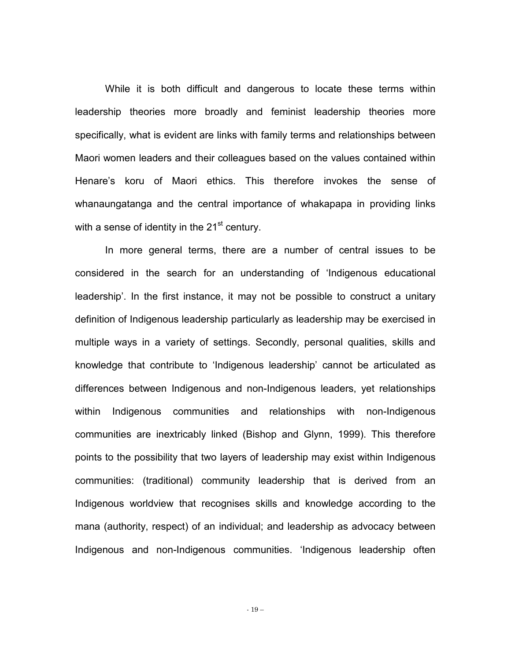While it is both difficult and dangerous to locate these terms within leadership theories more broadly and feminist leadership theories more specifically, what is evident are links with family terms and relationships between Maori women leaders and their colleagues based on the values contained within Henare's koru of Maori ethics. This therefore invokes the sense of whanaungatanga and the central importance of whakapapa in providing links with a sense of identity in the  $21<sup>st</sup>$  century.

In more general terms, there are a number of central issues to be considered in the search for an understanding of 'Indigenous educational leadership'. In the first instance, it may not be possible to construct a unitary definition of Indigenous leadership particularly as leadership may be exercised in multiple ways in a variety of settings. Secondly, personal qualities, skills and knowledge that contribute to 'Indigenous leadership' cannot be articulated as differences between Indigenous and non-Indigenous leaders, yet relationships within Indigenous communities and relationships with non-Indigenous communities are inextricably linked (Bishop and Glynn, 1999). This therefore points to the possibility that two layers of leadership may exist within Indigenous communities: (traditional) community leadership that is derived from an Indigenous worldview that recognises skills and knowledge according to the mana (authority, respect) of an individual; and leadership as advocacy between Indigenous and non-Indigenous communities. 'Indigenous leadership often

- 19 –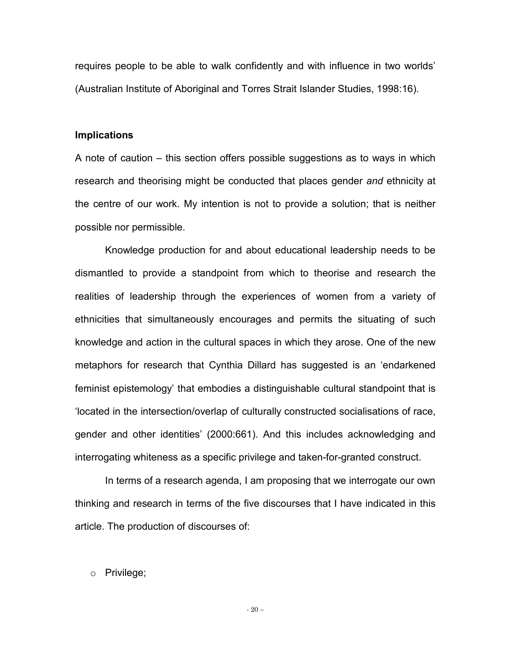requires people to be able to walk confidently and with influence in two worlds' (Australian Institute of Aboriginal and Torres Strait Islander Studies, 1998:16).

#### **Implications**

A note of caution – this section offers possible suggestions as to ways in which research and theorising might be conducted that places gender *and* ethnicity at the centre of our work. My intention is not to provide a solution; that is neither possible nor permissible.

 Knowledge production for and about educational leadership needs to be dismantled to provide a standpoint from which to theorise and research the realities of leadership through the experiences of women from a variety of ethnicities that simultaneously encourages and permits the situating of such knowledge and action in the cultural spaces in which they arose. One of the new metaphors for research that Cynthia Dillard has suggested is an 'endarkened feminist epistemology' that embodies a distinguishable cultural standpoint that is 'located in the intersection/overlap of culturally constructed socialisations of race, gender and other identities' (2000:661). And this includes acknowledging and interrogating whiteness as a specific privilege and taken-for-granted construct.

 In terms of a research agenda, I am proposing that we interrogate our own thinking and research in terms of the five discourses that I have indicated in this article. The production of discourses of:

#### o Privilege;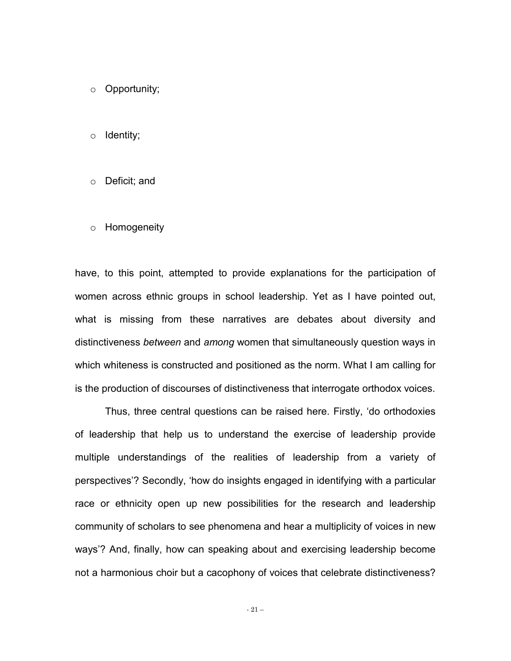o Opportunity;

o Identity;

- o Deficit; and
- o Homogeneity

have, to this point, attempted to provide explanations for the participation of women across ethnic groups in school leadership. Yet as I have pointed out, what is missing from these narratives are debates about diversity and distinctiveness *between* and *among* women that simultaneously question ways in which whiteness is constructed and positioned as the norm. What I am calling for is the production of discourses of distinctiveness that interrogate orthodox voices.

 Thus, three central questions can be raised here. Firstly, 'do orthodoxies of leadership that help us to understand the exercise of leadership provide multiple understandings of the realities of leadership from a variety of perspectives'? Secondly, 'how do insights engaged in identifying with a particular race or ethnicity open up new possibilities for the research and leadership community of scholars to see phenomena and hear a multiplicity of voices in new ways'? And, finally, how can speaking about and exercising leadership become not a harmonious choir but a cacophony of voices that celebrate distinctiveness?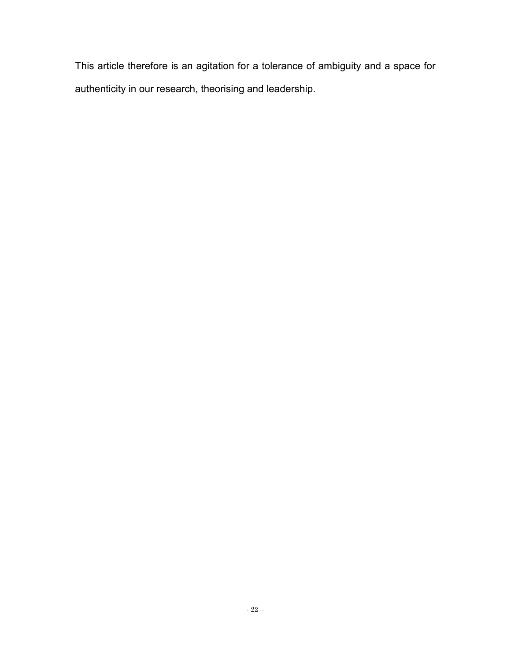This article therefore is an agitation for a tolerance of ambiguity and a space for authenticity in our research, theorising and leadership.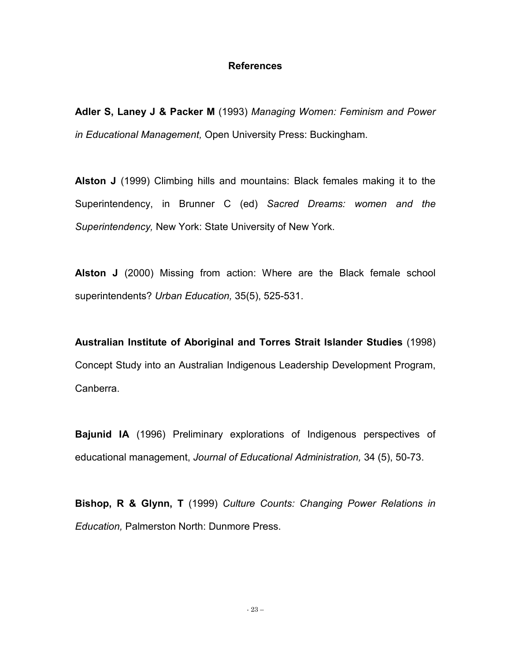#### **References**

**Adler S, Laney J & Packer M** (1993) *Managing Women: Feminism and Power in Educational Management,* Open University Press: Buckingham.

**Alston J** (1999) Climbing hills and mountains: Black females making it to the Superintendency, in Brunner C (ed) *Sacred Dreams: women and the Superintendency,* New York: State University of New York.

**Alston J** (2000) Missing from action: Where are the Black female school superintendents? *Urban Education,* 35(5), 525-531.

**Australian Institute of Aboriginal and Torres Strait Islander Studies** (1998) Concept Study into an Australian Indigenous Leadership Development Program, Canberra.

**Bajunid IA** (1996) Preliminary explorations of Indigenous perspectives of educational management, *Journal of Educational Administration,* 34 (5), 50-73.

**Bishop, R & Glynn, T** (1999) *Culture Counts: Changing Power Relations in Education,* Palmerston North: Dunmore Press.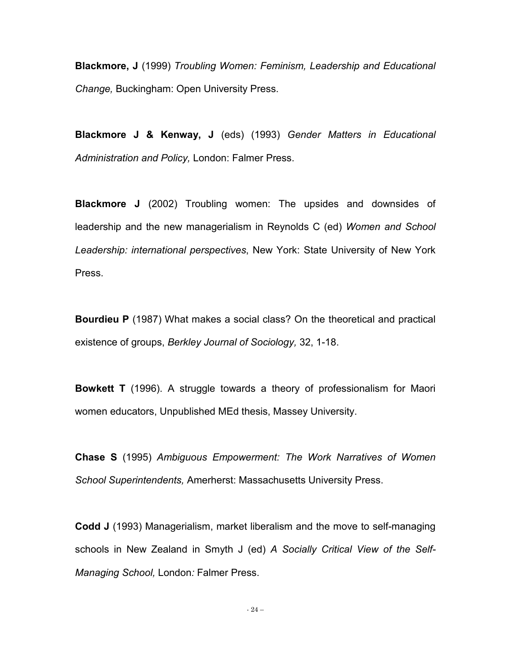**Blackmore, J** (1999) *Troubling Women: Feminism, Leadership and Educational Change,* Buckingham: Open University Press.

**Blackmore J & Kenway, J** (eds) (1993) *Gender Matters in Educational Administration and Policy,* London: Falmer Press.

**Blackmore J** (2002) Troubling women: The upsides and downsides of leadership and the new managerialism in Reynolds C (ed) *Women and School Leadership: international perspectives*, New York: State University of New York Press.

**Bourdieu P** (1987) What makes a social class? On the theoretical and practical existence of groups, *Berkley Journal of Sociology,* 32, 1-18.

**Bowkett T** (1996). A struggle towards a theory of professionalism for Maori women educators, Unpublished MEd thesis, Massey University.

**Chase S** (1995) *Ambiguous Empowerment: The Work Narratives of Women School Superintendents,* Amerherst: Massachusetts University Press.

**Codd J** (1993) Managerialism, market liberalism and the move to self-managing schools in New Zealand in Smyth J (ed) *A Socially Critical View of the Self-Managing School,* London*:* Falmer Press.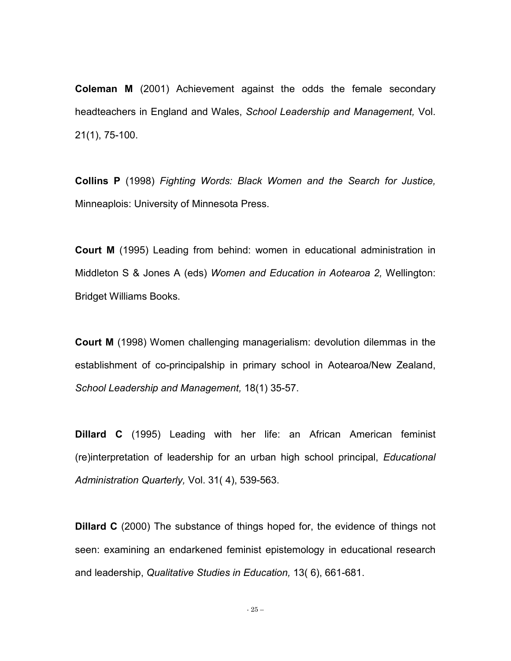**Coleman M** (2001) Achievement against the odds the female secondary headteachers in England and Wales, *School Leadership and Management,* Vol. 21(1), 75-100.

**Collins P** (1998) *Fighting Words: Black Women and the Search for Justice,* Minneaplois: University of Minnesota Press.

**Court M** (1995) Leading from behind: women in educational administration in Middleton S & Jones A (eds) *Women and Education in Aotearoa 2,* Wellington: Bridget Williams Books.

**Court M** (1998) Women challenging managerialism: devolution dilemmas in the establishment of co-principalship in primary school in Aotearoa/New Zealand, *School Leadership and Management,* 18(1) 35-57.

**Dillard C** (1995) Leading with her life: an African American feminist (re)interpretation of leadership for an urban high school principal, *Educational Administration Quarterly,* Vol. 31( 4), 539-563.

**Dillard C** (2000) The substance of things hoped for, the evidence of things not seen: examining an endarkened feminist epistemology in educational research and leadership, *Qualitative Studies in Education,* 13( 6), 661-681.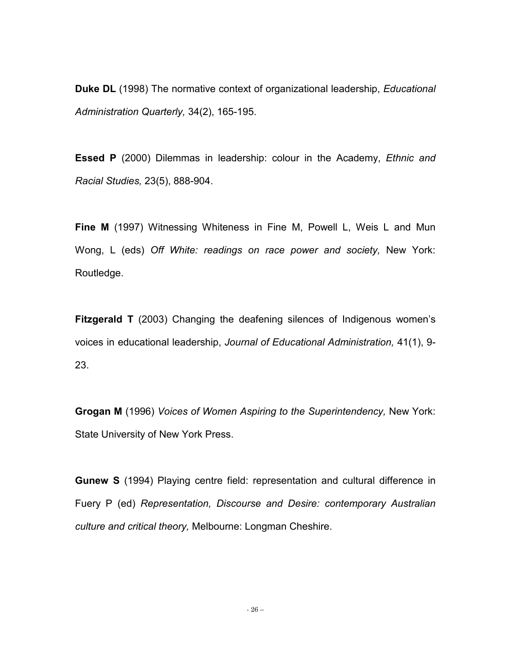**Duke DL** (1998) The normative context of organizational leadership, *Educational Administration Quarterly,* 34(2), 165-195.

**Essed P** (2000) Dilemmas in leadership: colour in the Academy, *Ethnic and Racial Studies,* 23(5), 888-904.

**Fine M** (1997) Witnessing Whiteness in Fine M, Powell L, Weis L and Mun Wong, L (eds) *Off White: readings on race power and society,* New York: Routledge.

**Fitzgerald T** (2003) Changing the deafening silences of Indigenous women's voices in educational leadership, *Journal of Educational Administration,* 41(1), 9- 23.

**Grogan M** (1996) *Voices of Women Aspiring to the Superintendency,* New York: State University of New York Press.

**Gunew S** (1994) Playing centre field: representation and cultural difference in Fuery P (ed) *Representation, Discourse and Desire: contemporary Australian culture and critical theory,* Melbourne: Longman Cheshire.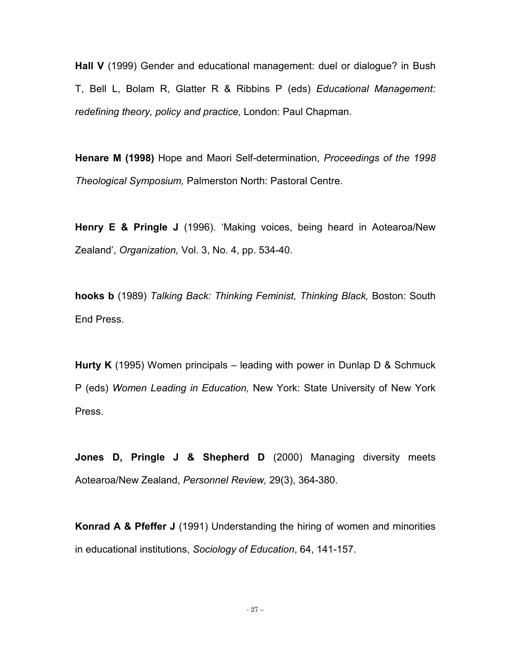**Hall V** (1999) Gender and educational management: duel or dialogue? in Bush T, Bell L, Bolam R, Glatter R & Ribbins P (eds) *Educational Management: redefining theory, policy and practice,* London: Paul Chapman.

**Henare M (1998)** Hope and Maori Self-determination, *Proceedings of the 1998 Theological Symposium,* Palmerston North: Pastoral Centre.

**Henry E & Pringle J** (1996). 'Making voices, being heard in Aotearoa/New Zealand', *Organization,* Vol. 3, No. 4, pp. 534-40.

**hooks b** (1989) *Talking Back: Thinking Feminist, Thinking Black,* Boston: South End Press.

**Hurty K** (1995) Women principals – leading with power in Dunlap D & Schmuck P (eds) *Women Leading in Education,* New York: State University of New York Press.

**Jones D, Pringle J & Shepherd D** (2000) Managing diversity meets Aotearoa/New Zealand, *Personnel Review,* 29(3), 364-380.

**Konrad A & Pfeffer J** (1991) Understanding the hiring of women and minorities in educational institutions, *Sociology of Education*, 64, 141-157.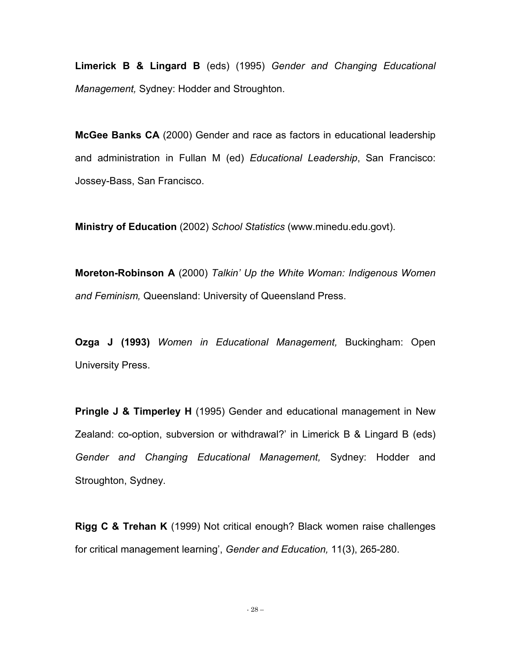**Limerick B & Lingard B** (eds) (1995) *Gender and Changing Educational Management,* Sydney: Hodder and Stroughton.

**McGee Banks CA** (2000) Gender and race as factors in educational leadership and administration in Fullan M (ed) *Educational Leadership*, San Francisco: Jossey-Bass, San Francisco.

**Ministry of Education** (2002) *School Statistics* (www.minedu.edu.govt).

**Moreton-Robinson A** (2000) *Talkin' Up the White Woman: Indigenous Women and Feminism,* Queensland: University of Queensland Press.

**Ozga J (1993)** *Women in Educational Management,* Buckingham: Open University Press.

**Pringle J & Timperley H** (1995) Gender and educational management in New Zealand: co-option, subversion or withdrawal?' in Limerick B & Lingard B (eds) *Gender and Changing Educational Management,* Sydney: Hodder and Stroughton, Sydney.

**Rigg C & Trehan K** (1999) Not critical enough? Black women raise challenges for critical management learning', *Gender and Education,* 11(3), 265-280.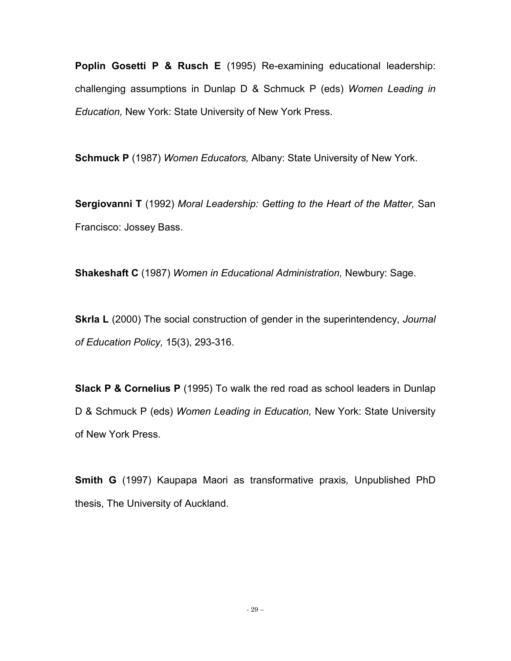**Poplin Gosetti P & Rusch E** (1995) Re-examining educational leadership: challenging assumptions in Dunlap D & Schmuck P (eds) *Women Leading in Education,* New York: State University of New York Press.

**Schmuck P** (1987) *Women Educators,* Albany: State University of New York.

**Sergiovanni T** (1992) *Moral Leadership: Getting to the Heart of the Matter,* San Francisco: Jossey Bass.

**Shakeshaft C** (1987) *Women in Educational Administration,* Newbury: Sage.

**Skrla L** (2000) The social construction of gender in the superintendency, *Journal of Education Policy,* 15(3), 293-316.

**Slack P & Cornelius P** (1995) To walk the red road as school leaders in Dunlap D & Schmuck P (eds) *Women Leading in Education,* New York: State University of New York Press.

**Smith G** (1997) Kaupapa Maori as transformative praxis*,* Unpublished PhD thesis, The University of Auckland.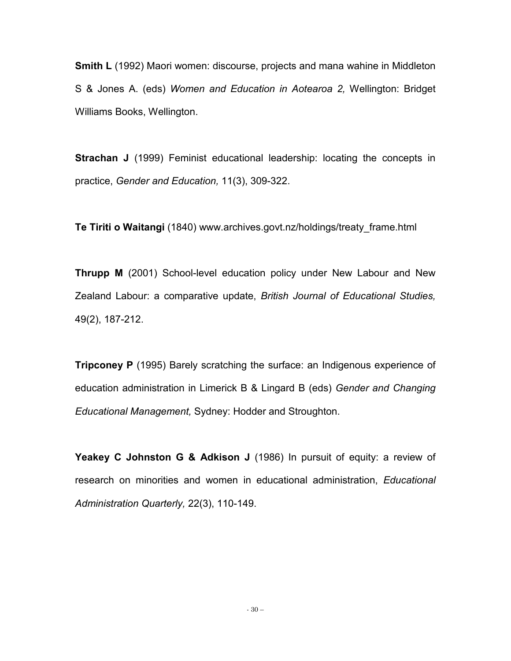**Smith L** (1992) Maori women: discourse, projects and mana wahine in Middleton S & Jones A. (eds) *Women and Education in Aotearoa 2,* Wellington: Bridget Williams Books, Wellington.

**Strachan J** (1999) Feminist educational leadership: locating the concepts in practice, *Gender and Education,* 11(3), 309-322.

**Te Tiriti o Waitangi** (1840) www.archives.govt.nz/holdings/treaty\_frame.html

**Thrupp M** (2001) School-level education policy under New Labour and New Zealand Labour: a comparative update, *British Journal of Educational Studies,* 49(2), 187-212.

**Tripconey P** (1995) Barely scratching the surface: an Indigenous experience of education administration in Limerick B & Lingard B (eds) *Gender and Changing Educational Management,* Sydney: Hodder and Stroughton.

**Yeakey C Johnston G & Adkison J** (1986) In pursuit of equity: a review of research on minorities and women in educational administration, *Educational Administration Quarterly,* 22(3), 110-149.